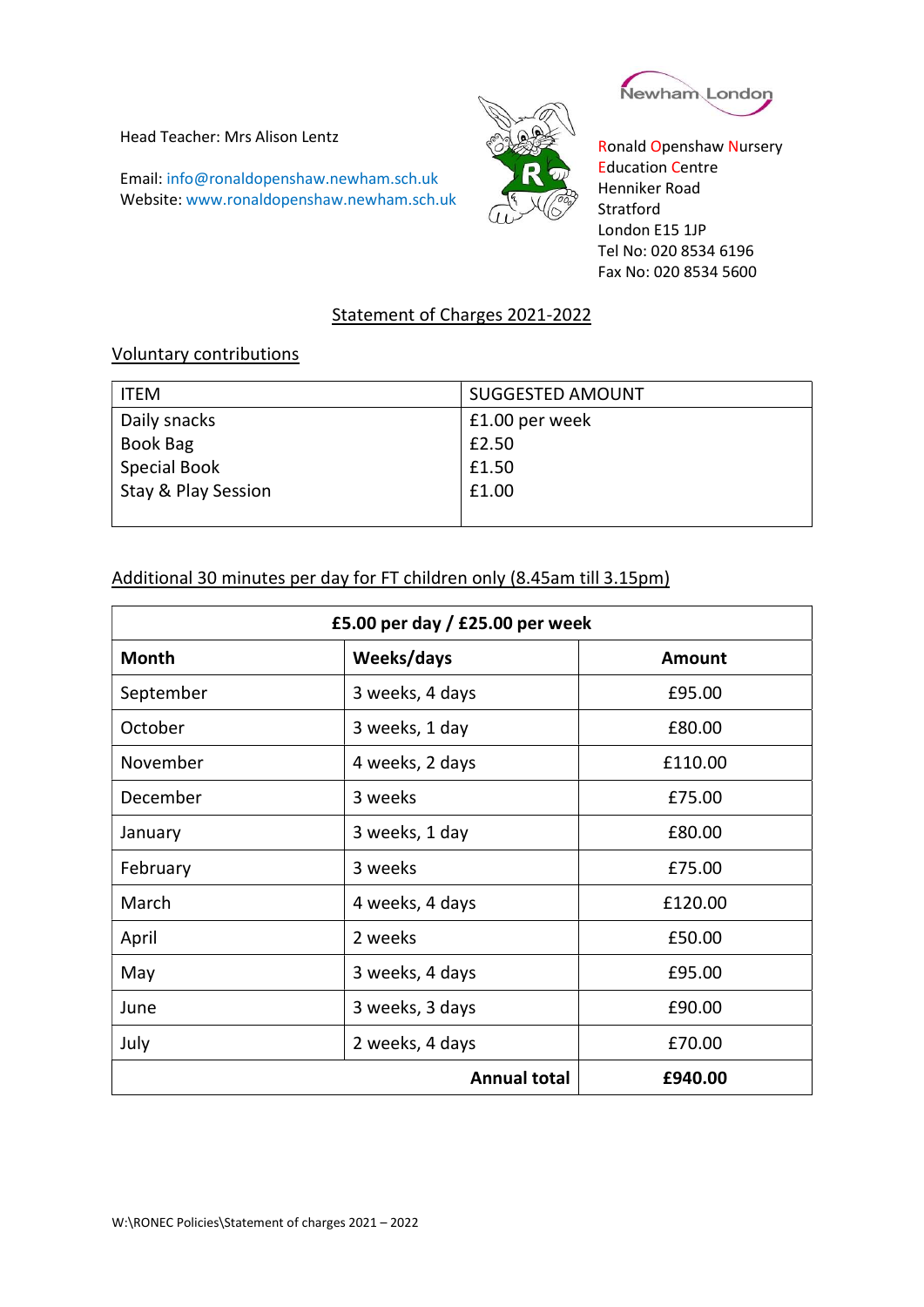Head Teacher: Mrs Alison Lentz

Email: info@ronaldopenshaw.newham.sch.uk Website: www.ronaldopenshaw.newham.sch.uk





Ronald Openshaw Nursery Education Centre Henniker Road **Stratford** London E15 1JP Tel No: 020 8534 6196 Fax No: 020 8534 5600

## Statement of Charges 2021-2022

## Voluntary contributions

| <b>ITEM</b>         | <b>SUGGESTED AMOUNT</b> |
|---------------------|-------------------------|
| Daily snacks        | £1.00 per week          |
| Book Bag            | £2.50                   |
| <b>Special Book</b> | £1.50                   |
| Stay & Play Session | £1.00                   |
|                     |                         |

## Additional 30 minutes per day for FT children only (8.45am till 3.15pm)

| £5.00 per day / $£25.00$ per week |                 |               |  |
|-----------------------------------|-----------------|---------------|--|
| <b>Month</b>                      | Weeks/days      | <b>Amount</b> |  |
| September                         | 3 weeks, 4 days | £95.00        |  |
| October                           | 3 weeks, 1 day  | £80.00        |  |
| November                          | 4 weeks, 2 days | £110.00       |  |
| December                          | 3 weeks         | £75.00        |  |
| January                           | 3 weeks, 1 day  | £80.00        |  |
| February                          | 3 weeks         | £75.00        |  |
| March                             | 4 weeks, 4 days | £120.00       |  |
| April                             | 2 weeks         | £50.00        |  |
| May                               | 3 weeks, 4 days | £95.00        |  |
| June                              | 3 weeks, 3 days | £90.00        |  |
| July                              | 2 weeks, 4 days | £70.00        |  |
| <b>Annual total</b>               |                 | £940.00       |  |